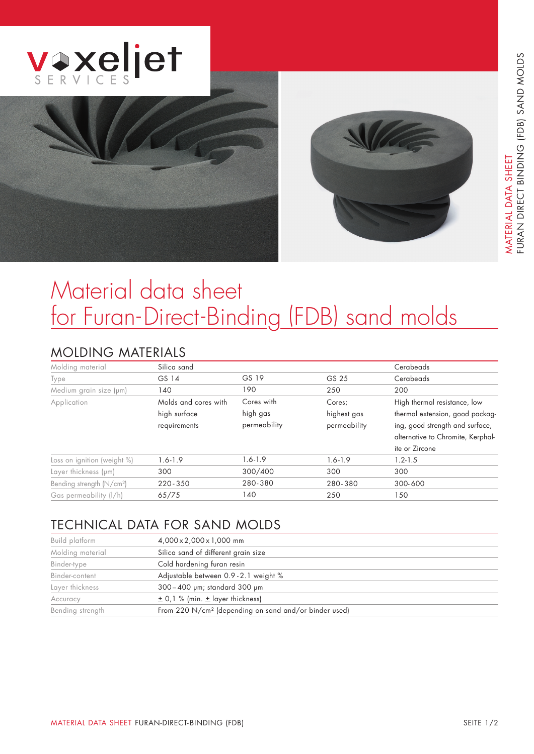





# Material data sheet for Furan-Direct-Binding (FDB) sand molds

## MOLDING MATERIALS

| Molding material                      | Silica sand          |              |              | Cerabeads                         |
|---------------------------------------|----------------------|--------------|--------------|-----------------------------------|
| Type                                  | GS 14                | GS 19        | GS 25        | Cerabeads                         |
| Medium grain size (µm)                | 140                  | 190          | 250          | 200                               |
| Application                           | Molds and cores with | Cores with   | Cores;       | High thermal resistance, low      |
|                                       | high surface         | high gas     | highest gas  | thermal extension, good packag-   |
|                                       | requirements         | permeability | permeability | ing, good strength and surface,   |
|                                       |                      |              |              | alternative to Chromite, Kerphal- |
|                                       |                      |              |              | ite or Zircone                    |
| Loss on ignition (weight %)           | $1.6 - 1.9$          | $1.6 - 1.9$  | $1.6 - 1.9$  | $1.2 - 1.5$                       |
| Layer thickness (µm)                  | 300                  | 300/400      | 300          | 300                               |
| Bending strength (N/cm <sup>2</sup> ) | $220 - 350$          | 280-380      | 280-380      | 300-600                           |
| Gas permeability (I/h)                | 65/75                | 140          | 250          | 150                               |

## TECHNICAL DATA FOR SAND MOLDS

| Build platform   | $4,000 \times 2,000 \times 1,000$ mm                              |  |  |
|------------------|-------------------------------------------------------------------|--|--|
| Molding material | Silica sand of different grain size                               |  |  |
| Binder-type      | Cold hardening furan resin                                        |  |  |
| Binder-content   | Adjustable between 0.9 - 2.1 weight %                             |  |  |
| Layer thickness  | 300-400 pm; standard 300 pm                                       |  |  |
| Accuracy         | $\pm$ 0,1 % (min. $\pm$ layer thickness)                          |  |  |
| Bending strength | From 220 N/cm <sup>2</sup> (depending on sand and/or binder used) |  |  |